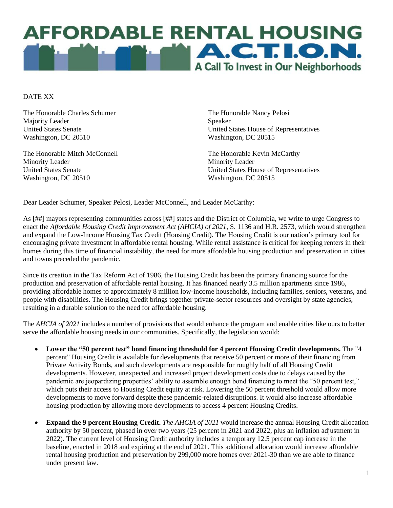

DATE XX

The Honorable Charles Schumer Majority Leader United States Senate Washington, DC 20510

The Honorable Mitch McConnell Minority Leader United States Senate Washington, DC 20510

The Honorable Nancy Pelosi Speaker United States House of Representatives Washington, DC 20515

The Honorable Kevin McCarthy Minority Leader United States House of Representatives Washington, DC 20515

Dear Leader Schumer, Speaker Pelosi, Leader McConnell, and Leader McCarthy:

As [##] mayors representing communities across [##] states and the District of Columbia, we write to urge Congress to enact the *Affordable Housing Credit Improvement Act (AHCIA) of 2021*, S. 1136 and H.R. 2573, which would strengthen and expand the Low-Income Housing Tax Credit (Housing Credit). The Housing Credit is our nation's primary tool for encouraging private investment in affordable rental housing. While rental assistance is critical for keeping renters in their homes during this time of financial instability, the need for more affordable housing production and preservation in cities and towns preceded the pandemic.

Since its creation in the Tax Reform Act of 1986, the Housing Credit has been the primary financing source for the production and preservation of affordable rental housing. It has financed nearly 3.5 million apartments since 1986, providing affordable homes to approximately 8 million low-income households, including families, seniors, veterans, and people with disabilities. The Housing Credit brings together private-sector resources and oversight by state agencies, resulting in a durable solution to the need for affordable housing.

The *AHCIA of 2021* includes a number of provisions that would enhance the program and enable cities like ours to better serve the affordable housing needs in our communities. Specifically, the legislation would:

- **Lower the "50 percent test" bond financing threshold for 4 percent Housing Credit developments.** The "4 percent" Housing Credit is available for developments that receive 50 percent or more of their financing from Private Activity Bonds, and such developments are responsible for roughly half of all Housing Credit developments. However, unexpected and increased project development costs due to delays caused by the pandemic are jeopardizing properties' ability to assemble enough bond financing to meet the "50 percent test," which puts their access to Housing Credit equity at risk. Lowering the 50 percent threshold would allow more developments to move forward despite these pandemic-related disruptions. It would also increase affordable housing production by allowing more developments to access 4 percent Housing Credits.
- **Expand the 9 percent Housing Credit.** *The AHCIA of 2021* would increase the annual Housing Credit allocation authority by 50 percent, phased in over two years (25 percent in 2021 and 2022, plus an inflation adjustment in 2022). The current level of Housing Credit authority includes a temporary 12.5 percent cap increase in the baseline, enacted in 2018 and expiring at the end of 2021. This additional allocation would increase affordable rental housing production and preservation by 299,000 more homes over 2021-30 than we are able to finance under present law.